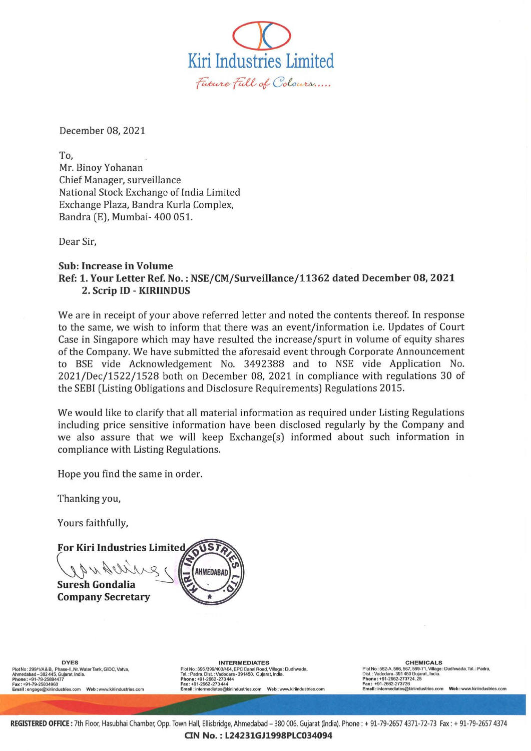Kiri Industries Limited Future Full of Colours.....

December 08,2021

To, Mr. Binoy Yohanan Chief Manager, surveillance National Stock Exchange of India Limited Exchange Plaza, Bandra Kurla Complex, Bandra (E), Mumbai- 400 051.

Dear Sir,

## Sub: Increase in Volume Ref: 1. Your Letter Ref. No. : NSE/CM/SurveiIlance/11362 dated December 08, 2021 2. Scrip ID - KIRIINDUS

We are in receipt of your above referred letter and noted the contents thereof. In response to the same, we wish to inform that there was an event/information i.e. Updates of Court Case in Singapore which may have resulted the increase/spurt in volume of equity shares of the Company. We have submitted the aforesaid event through Corporate Announcement to BSE vide Acknowledgement No. 3492388 and to NSE vide Application No. 2021/Dec/1522/1528 both on December 08, 2021 in compliance with regulations 30 of the SEBI (Listing Obligations and Disclosure Requirements) Regulations 2015.

We would like to clarify that all material information as required under Listing Regulations including price sensitive information have been disclosed regularly by the Company and we also assure that we will keep Exchange(s) informed about such information in compliance with Listing Regulations.

Hope you find the same in order.

Thanking you,

Yours faithfully,

**OUST For Kiri Industries Limited**  $0414$ **AHMEDABAI Suresh Gondalia** Company Secretary

**DYES**  Plot No : 299/1/A& B, Phase-II, Nr. Water Tank, GIDC, Vatva,<br>Ahmedabad -- 382 445, Gujarat, India.<br>**Phone : +**91-79-25894477<br>**Fax : +**91-79-25834960 **Email :** angage@klt1lndustries.com **Wab :** www.klmooustries.oom INTERMEDIATES<br>Tal.: Padra, Dist.: Vadodara - 391450. Gujarat, Village : Dudhwada,<br>Tal.: Padra, Dist.: Vadodara - 391450. Gujarat, India.<br>Phone : +91-2662-273444<br>Email : intermediates@kiriindustries.com Web : www.kiriindust

CHEMICALS<br>
Dist.: Vadodara-391450, 592-71, Village : Dudhwada, Tal.: Padra,<br>
Dist.: Vadodara-391450 Gujarat, India.<br>
Phone : +91-2662-273724, 25<br>
Fax : +91-2662-273724, 25<br>
Email : intermediates@kinindustries.com Web : www

REGISTERED OFFICE: 7th Floor, Hasubhai Chamber, Opp. Town Hall, Ellisbridge, Ahmedabad - 380 006. Gujarat (India). Phone : + 91-79-2657 4371-72-73 Fax: + 91-79-2657 4374

CIN No.: L24231GJ1998PLC034094